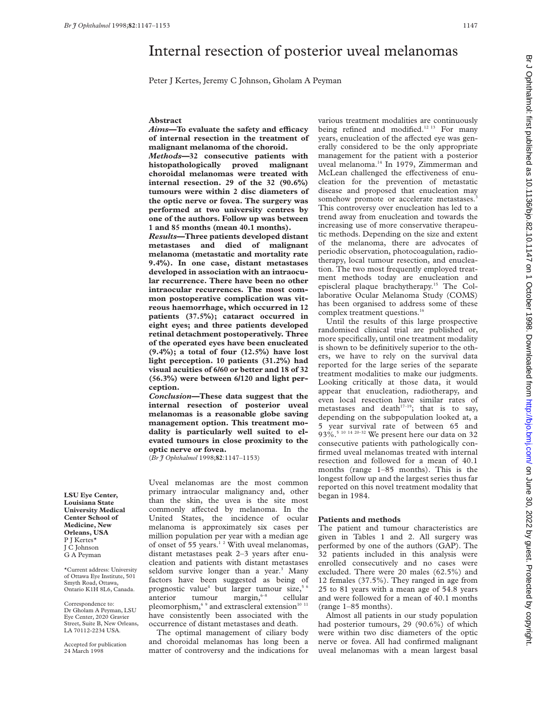# Internal resection of posterior uveal melanomas

Peter J Kertes, Jeremy C Johnson, Gholam A Peyman

#### **Abstract**

Aims-To evaluate the safety and efficacy **of internal resection in the treatment of malignant melanoma of the choroid.**

*Methods***—32 consecutive patients with histopathologically proved malignant choroidal melanomas were treated with internal resection. 29 of the 32 (90.6%) tumours were within 2 disc diameters of the optic nerve or fovea. The surgery was performed at two university centres by one of the authors. Follow up was between 1 and 85 months (mean 40.1 months).**

*Results***—Three patients developed distant metastases and died of malignant melanoma (metastatic and mortality rate 9.4%). In one case, distant metastases developed in association with an intraocular recurrence. There have been no other intraocular recurrences. The most common postoperative complication was vitreous haemorrhage, which occurred in 12 patients (37.5%); cataract occurred in eight eyes; and three patients developed retinal detachment postoperatively. Three of the operated eyes have been enucleated (9.4%); a total of four (12.5%) have lost light perception. 10 patients (31.2%) had visual acuities of 6/60 or better and 18 of 32 (56.3%) were between 6/120 and light perception.**

*Conclusion—***These data suggest that the internal resection of posterior uveal melanomas is a reasonable globe saving management option. This treatment modality is particularly well suited to elevated tumours in close proximity to the optic nerve or fovea.**

(*Br J Ophthalmol* 1998;**82**:1147–1153)

Uveal melanomas are the most common primary intraocular malignancy and, other than the skin, the uvea is the site most commonly affected by melanoma. In the United States, the incidence of ocular melanoma is approximately six cases per million population per year with a median age of onset of 55 years.1 2 With uveal melanomas, distant metastases peak 2–3 years after enucleation and patients with distant metastases seldom survive longer than a year.<sup>3</sup> Many factors have been suggested as being of prognostic value<sup>4</sup> but larger tumour size,<sup>5 6</sup> anterior tumour margin, $6-8$  cellular pleomorphism, $69$  and extrascleral extension<sup>10 11</sup> have consistently been associated with the occurrence of distant metastases and death.

The optimal management of ciliary body and choroidal melanomas has long been a matter of controversy and the indications for

various treatment modalities are continuously being refined and modified.<sup>12 13</sup> For many years, enucleation of the affected eye was generally considered to be the only appropriate management for the patient with a posterior uveal melanoma.14 In 1979, Zimmerman and McLean challenged the effectiveness of enucleation for the prevention of metastatic disease and proposed that enucleation may somehow promote or accelerate metastases.<sup>3</sup> This controversy over enucleation has led to a trend away from enucleation and towards the increasing use of more conservative therapeutic methods. Depending on the size and extent of the melanoma, there are advocates of periodic observation, photocoagulation, radiotherapy, local tumour resection, and enucleation. The two most frequently employed treatment methods today are enucleation and episcleral plaque brachytherapy.15 The Collaborative Ocular Melanoma Study (COMS) has been organised to address some of these complex treatment questions.<sup>16</sup>

Until the results of this large prospective randomised clinical trial are published or, more specifically, until one treatment modality is shown to be definitively superior to the others, we have to rely on the survival data reported for the large series of the separate treatment modalities to make our judgments. Looking critically at those data, it would appear that enucleation, radiotherapy, and even local resection have similar rates of metastases and death $17-19$ ; that is to say, depending on the subpopulation looked at, a 5 year survival rate of between 65 and 93%.<sup>5 10 14 20-32</sup> We present here our data on 32 consecutive patients with pathologically confirmed uveal melanomas treated with internal resection and followed for a mean of 40.1 months (range 1–85 months). This is the longest follow up and the largest series thus far reported on this novel treatment modality that began in 1984.

## **Patients and methods**

The patient and tumour characteristics are given in Tables 1 and 2. All surgery was performed by one of the authors (GAP). The 32 patients included in this analysis were enrolled consecutively and no cases were excluded. There were 20 males (62.5%) and 12 females (37.5%). They ranged in age from 25 to 81 years with a mean age of 54.8 years and were followed for a mean of 40.1 months (range 1–85 months).

Almost all patients in our study population had posterior tumours, 29 (90.6%) of which were within two disc diameters of the optic nerve or fovea. All had confirmed malignant uveal melanomas with a mean largest basal

**LSU Eye Center, Louisiana State University Medical Center School of Medicine, New Orleans, USA** P J Kertes\* J C Johnson G A Peyman

\*Current address: University of Ottawa Eye Institute, 501 Smyth Road, Ottawa, Ontario K1H 8L6, Canada.

Correspondence to: Dr Gholam A Peyman, LSU Eye Center, 2020 Gravier Street, Suite B, New Orleans, LA 70112-2234 USA.

Accepted for publication 24 March 1998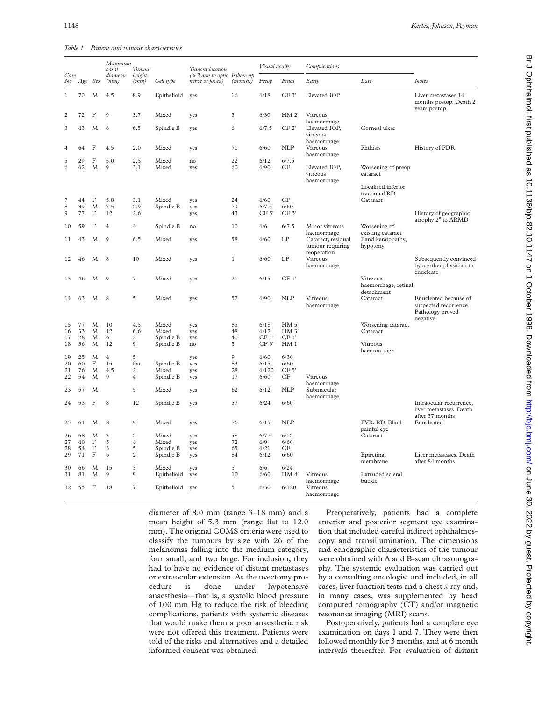*Table 1 Patient and tumour characteristics*

| Case              |         |              | Maximum<br>basal<br>diameter | Tumour                  |             | Tumour location<br>(≤3 mm to optic Follow up |              | Visual acuity |                 | Complications                            |                                                      |                                                                                 |
|-------------------|---------|--------------|------------------------------|-------------------------|-------------|----------------------------------------------|--------------|---------------|-----------------|------------------------------------------|------------------------------------------------------|---------------------------------------------------------------------------------|
| No                | Age Sex |              | (mm)                         | height<br>(mm)          | Cell type   | nerve or fovea)                              | (months)     | Preop         | Final           | Early                                    | Late                                                 | <b>Notes</b>                                                                    |
| 1                 | 70      | M            | 4.5                          | 8.9                     | Epithelioid | yes                                          | 16           | 6/18          | CF 3'           | Elevated IOP                             |                                                      | Liver metastases 16<br>months postop. Death 2<br>years postop                   |
| $\overline{c}$    | 72      | F            | 9                            | 3.7                     | Mixed       | yes                                          | 5            | 6/30          | HM 2'           | Vitreous<br>haemorrhage                  |                                                      |                                                                                 |
| 3                 | 43      | M            | 6                            | 6.5                     | Spindle B   | yes                                          | 6            | 6/7.5         | CF 2'           | Elevated IOP,<br>vitreous<br>haemorrhage | Corneal ulcer                                        |                                                                                 |
| $\overline{4}$    | 64      | F            | 4.5                          | 2.0                     | Mixed       | yes                                          | 71           | 6/60          | <b>NLP</b>      | Vitreous<br>haemorrhage                  | Phthisis                                             | History of PDR                                                                  |
| 5                 | 29      | $_{\rm F}$   | 5.0                          | 2.5                     | Mixed       | no                                           | 22           | 6/12          | 6/7.5           |                                          |                                                      |                                                                                 |
| 6                 | 62      | M            | 9                            | 3.1                     | Mixed       | yes                                          | 60           | 6/90          | CF              | Elevated IOP,<br>vitreous<br>haemorrhage | Worsening of preop<br>cataract<br>Localised inferior |                                                                                 |
|                   |         |              |                              |                         |             |                                              |              |               |                 |                                          | tractional RD                                        |                                                                                 |
| $\scriptstyle{7}$ | 44      | F            | 5.8                          | 3.1                     | Mixed       | yes                                          | 24           | 6/60          | CF              |                                          | Cataract                                             |                                                                                 |
| 8                 | 39      | M            | 7.5                          | 2.9                     | Spindle B   | yes                                          | 79           | 6/7.5         | 6/60            |                                          |                                                      |                                                                                 |
| 9                 | 77      | F            | 12                           | 2.6                     |             | yes                                          | 43           | CF 5'         | CF 3'           |                                          |                                                      | History of geographic<br>atrophy 2° to ARMD                                     |
| 10                | 59      | F            | 4                            | $\overline{4}$          | Spindle B   | no                                           | 10           | 6/6           | 6/7.5           | Minor vitreous<br>haemorrhage            | Worsening of<br>existing cataract                    |                                                                                 |
| 11                | 43      | M            | 9                            | 6.5                     | Mixed       | yes                                          | 58           | 6/60          | LP              | Cataract, residual<br>tumour requiring   | Band keratopathy,<br>hypotony                        |                                                                                 |
| 12                | 46      | M            | 8                            | 10                      | Mixed       | yes                                          | $\mathbf{1}$ | 6/60          | LP              | reoperation<br>Vitreous<br>haemorrhage   |                                                      | Subsequently convinced<br>by another physician to<br>enucleate                  |
| 13                | 46      | M            | 9                            | $\sqrt{7}$              | Mixed       | yes                                          | 21           | 6/15          | CF1'            |                                          | Vitreous<br>haemorrhage, retinal<br>detachment       |                                                                                 |
| 14                | 63      | M            | 8                            | 5                       | Mixed       | yes                                          | 57           | 6/90          | <b>NLP</b>      | Vitreous<br>haemorrhage                  | Cataract                                             | Enucleated because of<br>suspected recurrence.<br>Pathology proved<br>negative. |
| 15                | 77      | M            | 10                           | 4.5                     | Mixed       | yes                                          | 85           | 6/18          | HM <sub>5</sub> |                                          | Worsening cataract                                   |                                                                                 |
| 16                | 33      | M            | 12                           | 6.6                     | Mixed       | yes                                          | 48           | 6/12          | HM <sub>3</sub> |                                          | Cataract                                             |                                                                                 |
| 17                | 28      | M            | 6                            | $\overline{c}$          | Spindle B   | yes                                          | 40           | CF1'          | CF <sub>1</sub> |                                          |                                                      |                                                                                 |
| 18                | 36      | M            | 12                           | 9                       | Spindle B   | no                                           | 5            | CF 3'         | HM <sub>1</sub> |                                          | Vitreous<br>haemorrhage                              |                                                                                 |
| 19                | 25      | M            | $\overline{4}$               | 5                       |             | yes                                          | $\mathbf{9}$ | 6/60          | 6/30            |                                          |                                                      |                                                                                 |
| 20                | 60      | $\mathbf F$  | 15                           | flat                    | Spindle B   | yes                                          | 83           | 6/15          | 6/60            |                                          |                                                      |                                                                                 |
| 21                | 76      | M            | 4.5                          | $\overline{2}$          | Mixed       | yes                                          | 28           | 6/120         | CF <sub>5</sub> |                                          |                                                      |                                                                                 |
| 22                | 54      | M            | 9                            | $\overline{4}$          | Spindle B   | yes                                          | 17           | 6/60          | CF              | Vitreous<br>haemorrhage                  |                                                      |                                                                                 |
| 23                | 57      | M            |                              | 5                       | Mixed       | yes                                          | 62           | 6/12          | <b>NLP</b>      | Submacular<br>haemorrhage                |                                                      |                                                                                 |
| 24                | 53      | F            | 8                            | 12                      | Spindle B   | yes                                          | 57           | 6/24          | 6/60            |                                          |                                                      | Intraocular recurrence,<br>liver metastases. Death<br>after 57 months           |
| 25                | 61      | M            | 8                            | 9                       | Mixed       | yes                                          | 76           | 6/15          | <b>NLP</b>      |                                          | PVR, RD. Blind<br>painful eye                        | Enucleated                                                                      |
| 26                | 68      | M            | 3                            | $\overline{2}$          | Mixed       | yes                                          | 58           | 6/7.5         | 6/12            |                                          | Cataract                                             |                                                                                 |
| 27                | 40      | $\mathbf F$  | 5                            | $\overline{4}$          | Mixed       | yes                                          | 72           | 6/9           | 6/60            |                                          |                                                      |                                                                                 |
| 28                | 54      | $\mathbf F$  | 3                            | 5                       | Spindle B   | yes                                          | 65           | 6/21          | CF              |                                          |                                                      |                                                                                 |
| 29                | 71      | $\mathbf F$  | 6                            | $\overline{c}$          | Spindle B   | yes                                          | 84           | 6/12          | 6/60            |                                          | Epiretinal<br>membrane                               | Liver metastases. Death<br>after 84 months                                      |
| 30                | 66      | M            | 15                           | $\overline{\mathbf{3}}$ | Mixed       | yes                                          | 5            | 6/6           | 6/24            |                                          |                                                      |                                                                                 |
| 31                | 81      | M            | $\mathbf Q$                  | $\mathbf Q$             | Epithelioid | yes                                          | 10           | 6/60          | HM4             | Vitreous<br>haemorrhage                  | Extruded scleral<br>buckle                           |                                                                                 |
| 32                | 55      | $\mathbf{F}$ | 18                           | $\overline{7}$          | Epithelioid | yes                                          | 5            | 6/30          | 6/120           | Vitreous<br>haemorrhage                  |                                                      |                                                                                 |

diameter of 8.0 mm (range 3–18 mm) and a mean height of 5.3 mm (range flat to 12.0 mm). The original COMS criteria were used to classify the tumours by size with 26 of the melanomas falling into the medium category, four small, and two large. For inclusion, they had to have no evidence of distant metastases or extraocular extension. As the uvectomy procedure is done under hypotensive anaesthesia—that is, a systolic blood pressure of 100 mm Hg to reduce the risk of bleeding complications, patients with systemic diseases that would make them a poor anaesthetic risk were not offered this treatment. Patients were told of the risks and alternatives and a detailed informed consent was obtained.

Preoperatively, patients had a complete anterior and posterior segment eye examination that included careful indirect ophthalmoscopy and transillumination. The dimensions and echographic characteristics of the tumour were obtained with A and B-scan ultrasonography. The systemic evaluation was carried out by a consulting oncologist and included, in all cases, liver function tests and a chest *x* ray and, in many cases, was supplemented by head computed tomography (CT) and/or magnetic resonance imaging (MRI) scans.

Postoperatively, patients had a complete eye examination on days 1 and 7. They were then followed monthly for 3 months, and at 6 month intervals thereafter. For evaluation of distant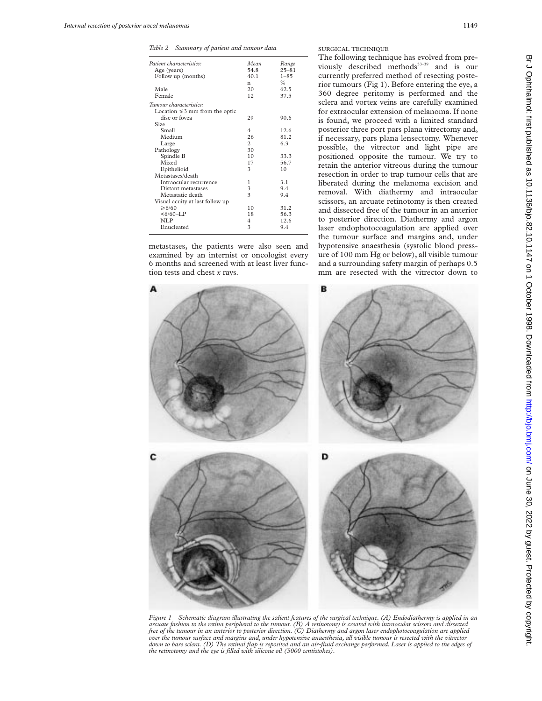*Table 2 Summary of patient and tumour data*

| Patient characteristics:            | Mean | Range         |
|-------------------------------------|------|---------------|
| Age (years)                         | 54.8 | $25 - 81$     |
| Follow up (months)                  | 40.1 | $1 - 85$      |
|                                     | n    | $\frac{0}{0}$ |
| Male                                | 20   | 62.5          |
| Female                              | 12.  | 37.5          |
| Tumour characteristics:             |      |               |
| Location $\leq$ 3 mm from the optic |      |               |
| disc or fovea                       | 29   | 90.6          |
| Size                                |      |               |
| Small                               | 4    | 12.6          |
| Medium                              | 26   | 81.2          |
| Large                               | 2    | 6.3           |
| Pathology                           | 30   |               |
| Spindle B                           | 10   | 33.3          |
| Mixed                               | 17   | 56.7          |
| Epithelioid                         | 3    | 10            |
| Metastases/death                    |      |               |
| Intraocular recurrence              | 1    | 3.1           |
| Distant metastases                  | 3    | 9.4           |
| Metastatic death                    | 3    | 9.4           |
| Visual acuity at last follow up     |      |               |
| $\geq 6/60$                         | 10   | 31.2          |
| $<6/60-I.P$                         | 18   | 56.3          |
| NLP                                 | 4    | 12.6          |
| Enucleated                          | 3    | 9.4           |
|                                     |      |               |

metastases, the patients were also seen and examined by an internist or oncologist every 6 months and screened with at least liver function tests and chest *x* rays.

SURGICAL TECHNIQUE

The following technique has evolved from previously described methods<sup>33-39</sup> and is our currently preferred method of resecting posterior tumours (Fig 1). Before entering the eye, a 360 degree peritomy is performed and the sclera and vortex veins are carefully examined for extraocular extension of melanoma. If none is found, we proceed with a limited standard posterior three port pars plana vitrectomy and, if necessary, pars plana lensectomy. Whenever possible, the vitrector and light pipe are positioned opposite the tumour. We try to retain the anterior vitreous during the tumour resection in order to trap tumour cells that are liberated during the melanoma excision and removal. With diathermy and intraocular scissors, an arcuate retinotomy is then created and dissected free of the tumour in an anterior to posterior direction. Diathermy and argon laser endophotocoagulation are applied over the tumour surface and margins and, under hypotensive anaesthesia (systolic blood pressure of 100 mm Hg or below), all visible tumour and a surrounding safety margin of perhaps 0.5 mm are resected with the vitrector down to



*Figure 1 Schematic diagram illustrating the salient features of the surgical technique. (A) Endodiathermy is applied in an arcuate fashion to the retina peripheral to the tumour. (B) A retinotomy is created with intraocular scissors and dissected free of the tumour in an anterior to posterior direction. (C) Diathermy and argon laser endophotocoagulation are applied over the tumour surface and margins and, under hypotensive anaesthesia, all visible tumour is resected with the vitrector down to bare sclera. (D) The retinal flap is reposited and an air-fluid exchange performed. Laser is applied to the edges of the retinotomy and the eye is filled with silicone oil (5000 centistokes).*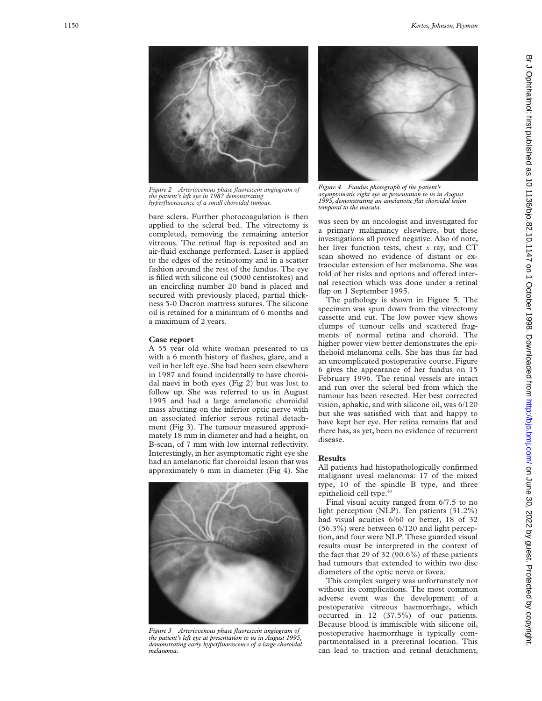

*Figure 2 Arteriovenous phase fluorescein angiogram of the patient's left eye in 1987 demonstrating hyperfluorescence of a small choroidal tumour.*

bare sclera. Further photocoagulation is then applied to the scleral bed. The vitrectomy is completed, removing the remaining anterior vitreous. The retinal flap is reposited and an air-fluid exchange performed. Laser is applied to the edges of the retinotomy and in a scatter fashion around the rest of the fundus. The eye is filled with silicone oil (5000 centistokes) and an encircling number 20 band is placed and secured with previously placed, partial thickness 5-0 Dacron mattress sutures. The silicone oil is retained for a minimum of 6 months and a maximum of 2 years.

#### **Case report**

A 55 year old white woman presented to us with a 6 month history of flashes, glare, and a veil in her left eye. She had been seen elsewhere in 1987 and found incidentally to have choroidal naevi in both eyes (Fig 2) but was lost to follow up. She was referred to us in August 1995 and had a large amelanotic choroidal mass abutting on the inferior optic nerve with an associated inferior serous retinal detachment (Fig 3). The tumour measured approximately 18 mm in diameter and had a height, on B-scan, of 7 mm with low internal reflectivity. Interestingly, in her asymptomatic right eye she had an amelanotic flat choroidal lesion that was approximately 6 mm in diameter (Fig 4). She



*Figure 3 Arteriovenous phase fluorescein angiogram of the patient's left eye at presentation to us in August 1995, demonstrating early hyperfluorescence of a large choroidal melanoma.*



*Figure 4 Fundus photograph of the patient's asymptomatic right eye at presentation to us in August 1995, demonstrating an amelanotic flat choroidal lesion temporal to the macula.*

was seen by an oncologist and investigated for a primary malignancy elsewhere, but these investigations all proved negative. Also of note, her liver function tests, chest *x* ray, and CT scan showed no evidence of distant or extraocular extension of her melanoma. She was told of her risks and options and offered internal resection which was done under a retinal flap on 1 September 1995.

The pathology is shown in Figure 5. The specimen was spun down from the vitrectomy cassette and cut. The low power view shows clumps of tumour cells and scattered fragments of normal retina and choroid. The higher power view better demonstrates the epithelioid melanoma cells. She has thus far had an uncomplicated postoperative course. Figure 6 gives the appearance of her fundus on 15 February 1996. The retinal vessels are intact and run over the scleral bed from which the tumour has been resected. Her best corrected vision, aphakic, and with silicone oil, was 6/120 but she was satisfied with that and happy to have kept her eye. Her retina remains flat and there has, as yet, been no evidence of recurrent disease.

# **Results**

All patients had histopathologically confirmed malignant uveal melanoma: 17 of the mixed type, 10 of the spindle B type, and three epithelioid cell type.<sup>40</sup>

Final visual acuity ranged from 6/7.5 to no light perception (NLP). Ten patients (31.2%) had visual acuities 6/60 or better, 18 of 32 (56.3%) were between 6/120 and light perception, and four were NLP. These guarded visual results must be interpreted in the context of the fact that 29 of 32  $(90.6%)$  of these patients had tumours that extended to within two disc diameters of the optic nerve or fovea.

This complex surgery was unfortunately not without its complications. The most common adverse event was the development of a postoperative vitreous haemorrhage, which occurred in 12 (37.5%) of our patients. Because blood is immiscible with silicone oil, postoperative haemorrhage is typically compartmentalised in a preretinal location. This can lead to traction and retinal detachment,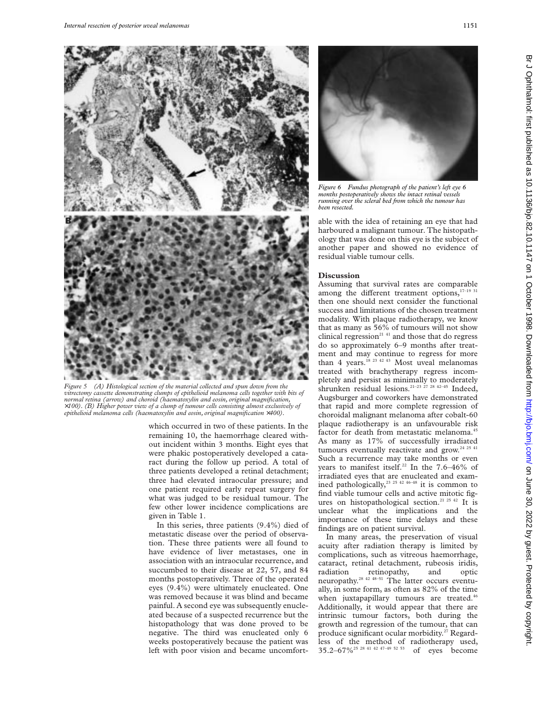

*Figure 5 (A) Histological section of the material collected and spun down from the vitrectomy cassette demonstrating clumps of epithelioid melanoma cells together with bits of normal retina (arrow) and choroid (haematoxylin and eosin, original magnification,* ×*100). (B) Higher power view of a clump of tumour cells consisting almost exclusively of epithelioid melanoma cells (haematoxylin and eosin, original magnification* ×*400).*

which occurred in two of these patients. In the remaining 10, the haemorrhage cleared without incident within 3 months. Eight eyes that were phakic postoperatively developed a cataract during the follow up period. A total of three patients developed a retinal detachment; three had elevated intraocular pressure; and one patient required early repeat surgery for what was judged to be residual tumour. The few other lower incidence complications are given in Table 1.

In this series, three patients (9.4%) died of metastatic disease over the period of observation. These three patients were all found to have evidence of liver metastases, one in association with an intraocular recurrence, and succumbed to their disease at 22, 57, and 84 months postoperatively. Three of the operated eyes (9.4%) were ultimately enucleated. One was removed because it was blind and became painful. A second eye was subsequently enucleated because of a suspected recurrence but the histopathology that was done proved to be negative. The third was enucleated only 6 weeks postoperatively because the patient was left with poor vision and became uncomfort-



*Figure 6 Fundus photograph of the patient's left eye 6 months postoperatively shows the intact retinal vessels running over the scleral bed from which the tumour has been resected.*

able with the idea of retaining an eye that had harboured a malignant tumour. The histopathology that was done on this eye is the subject of another paper and showed no evidence of residual viable tumour cells.

## **Discussion**

Assuming that survival rates are comparable among the different treatment options, $17-19$  31 then one should next consider the functional success and limitations of the chosen treatment modality. With plaque radiotherapy, we know that as many as 56% of tumours will not show clinical regression<sup>2141</sup> and those that do regress do so approximately 6–9 months after treatment and may continue to regress for more than 4 years.<sup>18 23 42 43</sup> Most uveal melanomas treated with brachytherapy regress incompletely and persist as minimally to moderately shrunken residual lesions.<sup>21-23</sup> <sup>27</sup> <sup>28</sup> <sup>42-45</sup> Indeed, Augsburger and coworkers have demonstrated that rapid and more complete regression of choroidal malignant melanoma after cobalt-60 plaque radiotherapy is an unfavourable risk factor for death from metastatic melanoma.<sup>45</sup> As many as 17% of successfully irradiated tumours eventually reactivate and grow.<sup>24 25 41</sup> Such a recurrence may take months or even years to manifest itself.<sup>22</sup> In the  $7.6-46\%$  of irradiated eyes that are enucleated and examined pathologically,23 25 42 46–48 it is common to find viable tumour cells and active mitotic figures on histopathological section.<sup>21 25 42</sup> It is unclear what the implications and the importance of these time delays and these findings are on patient survival.

In many areas, the preservation of visual acuity after radiation therapy is limited by complications, such as vitreous haemorrhage, cataract, retinal detachment, rubeosis iridis, radiation retinopathy, and optic neuropathy.<sup>28 42 48-51</sup> The latter occurs eventually, in some form, as often as 82% of the time when juxtapapillary tumours are treated.<sup>46</sup> Additionally, it would appear that there are intrinsic tumour factors, both during the growth and regression of the tumour, that can produce significant ocular morbidity.<sup>27</sup> Regardless of the method of radiotherapy used, 35.2–67%25 28 41 42 47–49 52 53 of eyes become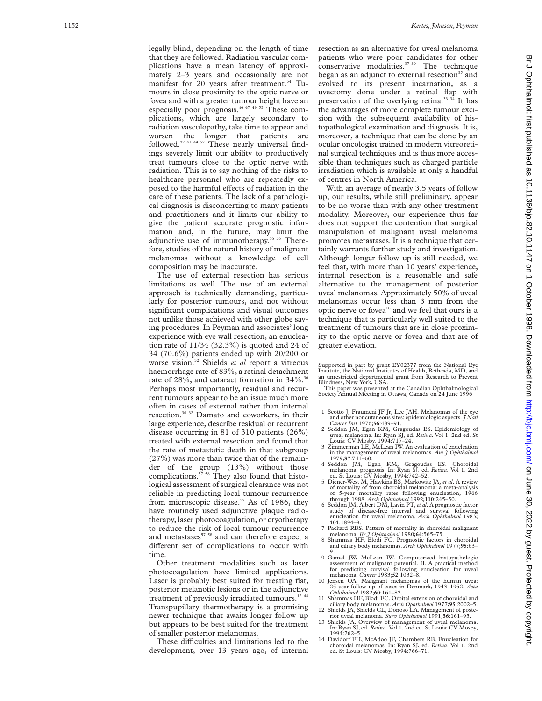legally blind, depending on the length of time that they are followed. Radiation vascular complications have a mean latency of approximately 2–3 years and occasionally are not manifest for 20 years after treatment.<sup>54</sup> Tumours in close proximity to the optic nerve or fovea and with a greater tumour height have an especially poor prognosis.<sup>46 47 49 53</sup> These complications, which are largely secondary to radiation vasculopathy, take time to appear and worsen the longer that patients are followed.<sup>22 41 49 52</sup> These nearly universal findings severely limit our ability to productively treat tumours close to the optic nerve with radiation. This is to say nothing of the risks to healthcare personnel who are repeatedly exposed to the harmful effects of radiation in the care of these patients. The lack of a pathological diagnosis is disconcerting to many patients and practitioners and it limits our ability to give the patient accurate prognostic information and, in the future, may limit the adjunctive use of immunotherapy.<sup>55 56</sup> Therefore, studies of the natural history of malignant melanomas without a knowledge of cell composition may be inaccurate.

The use of external resection has serious limitations as well. The use of an external approach is technically demanding, particularly for posterior tumours, and not without significant complications and visual outcomes not unlike those achieved with other globe saving procedures. In Peyman and associates' long experience with eye wall resection, an enucleation rate of 11/34 (32.3%) is quoted and 24 of 34 (70.6%) patients ended up with 20/200 or worse vision.32 Shields *et al* report a vitreous haemorrhage rate of 83%, a retinal detachment rate of 28%, and cataract formation in 34%.<sup>30</sup> Perhaps most importantly, residual and recurrent tumours appear to be an issue much more often in cases of external rather than internal resection.30 32 Damato and coworkers, in their large experience, describe residual or recurrent disease occurring in 81 of 310 patients (26%) treated with external resection and found that the rate of metastatic death in that subgroup (27%) was more than twice that of the remainder of the group (13%) without those complications.<sup>57</sup> <sup>58</sup> They also found that histological assessment of surgical clearance was not reliable in predicting local tumour recurrence from microscopic disease.<sup>57</sup> As of 1986, they have routinely used adjunctive plaque radiotherapy, laser photocoagulation, or cryotherapy to reduce the risk of local tumour recurrence and metastases $<sup>57-58</sup>$  and can therefore expect a</sup> different set of complications to occur with time.

Other treatment modalities such as laser photocoagulation have limited applications. Laser is probably best suited for treating flat, posterior melanotic lesions or in the adjunctive treatment of previously irradiated tumours. $^{12}$   $^{44}$ Transpupillary thermotherapy is a promising newer technique that awaits longer follow up but appears to be best suited for the treatment of smaller posterior melanomas.

These difficulties and limitations led to the development, over 13 years ago, of internal resection as an alternative for uveal melanoma patients who were poor candidates for other conservative modalities. $37-39$  The technique began as an adjunct to external resection<sup>35</sup> and evolved to its present incarnation, as a uvectomy done under a retinal flap with preservation of the overlying retina.<sup>33 34</sup> It has the advantages of more complete tumour excision with the subsequent availability of histopathological examination and diagnosis. It is, moreover, a technique that can be done by an ocular oncologist trained in modern vitreoretinal surgical techniques and is thus more accessible than techniques such as charged particle irradiation which is available at only a handful of centres in North America.

With an average of nearly 3.5 years of follow up, our results, while still preliminary, appear to be no worse than with any other treatment modality. Moreover, our experience thus far does not support the contention that surgical manipulation of malignant uveal melanoma promotes metastases. It is a technique that certainly warrants further study and investigation. Although longer follow up is still needed, we feel that, with more than 10 years' experience, internal resection is a reasonable and safe alternative to the management of posterior uveal melanomas. Approximately 50% of uveal melanomas occur less than 3 mm from the optic nerve or fovea<sup>18</sup> and we feel that ours is a technique that is particularly well suited to the treatment of tumours that are in close proximity to the optic nerve or fovea and that are of greater elevation.

Supported in part by grant EY02377 from the National Eye Institute, the National Institutes of Health, Bethesda, MD, and an unrestricted departmental grant from Research to Prevent Blindness, New York, USA.

This paper was presented at the Canadian Ophthalmological Society Annual Meeting in Ottawa, Canada on 24 June 1996

- 1 Scotto J, Fraumeni JF Jr, Lee JAH. Melanomas of the eye society, and other noncutaneous sites: epidemiologic aspects. *J Natl*<br>*Cancer Inst* 1976;56:489–91.
- Cancer Inst 1976;56:489-91.<br>2 Seddon JM, Egan KM, Gragoudas ES. Epidemiology of<br>uveal melanoma. In: Ryan SJ, ed. *Retina*. Vol 1. 2nd ed. St<br>Louis: CV Mosby, 1994:717-24.<br>3 Zimmerman LE, McLean IW. An evaluation of enuclea
- in the management of uveal melanomas. *Am J Ophthalmol* 1979;**87**:741–60.
- 4 Seddon JM, Egan KM, Gragoudas ES. Choroidal melanoma: prognosis. In: Ryan SJ, ed. *Retina*. Vol 1. 2nd ed. St Louis: CV Mosby, 1994:742–52.
- 5 Diener-West M, Hawkins BS, Markowitz JA, *et al*. A review of mortality of from choroidal melanoma: a meta-analysis of 5-year mortality rates following enucleation, 1966 through 1988. *Arch Ophthalmol* 1992;**110**:245–50.
- 6 Seddon JM, Albert DM, Lavin PT, *et al*. A prognostic factor study of disease-free interval and survival following enucleation for uveal melanoma. *Arch Ophthalmol* 1983; **101**:1894–9.
- 7 Packard RBS. Pattern of mortality in choroidal malignant
- melanoma. *Br J Ophthalmol* 1980;**64**:565–75.<br>
8 Shammas HF, Blodi FC. Prognostic factors in choroidal<br>
and ciliary body melanomas. *Arch Ophthalmol* 1977;**95**:63–<br>
9.
- 9 Gamel JW, McLean IW. Computerized histopathologic assessment of malignant potential. II. A practical method for predicting survival following enucleation for uveal melanoma. *Cancer* 1983;**52**:1032–8.
- 10 Jensen OA. Malignant melanomas of the human uvea: 25-year follow-up of cases in Denmark, 1943–1952. *Acta Ophthalmol* 1982;**60**:161–82.
- 11 Shammas HF, Blodi FC. Orbital extension of choroidal and ciliary body melanomas. *Arch Ophthalmol* 1977;**95**:2002–5. 12 Shields JA, Shields CL, Donoso LA. Management of poste-
- rior uveal melanoma. *Surv Ophthalmol* 1991;**36**:161–95. 13 Shields JA. Overview of management of uveal melanoma.
- In: Ryan SJ, ed. *Retina.* Vol 1. 2nd ed. St Louis: CV Mosby, 1994:762–5.
- 14 Davidorf FH, McAdoo JF, Chambers RB. Enucleation for choroidal melanomas. In: Ryan SJ, ed. *Retina*. Vol 1. 2nd ed. St Louis: CV Mosby, 1994:766–71.